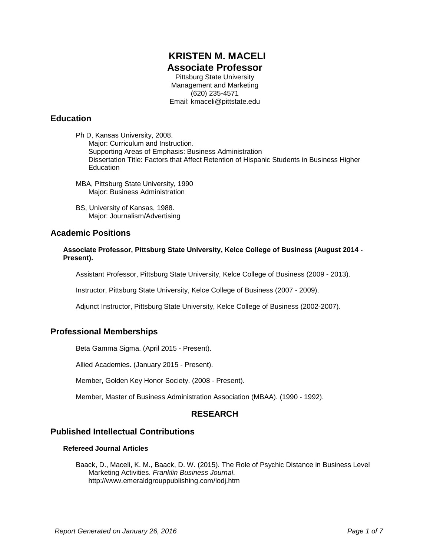# **KRISTEN M. MACELI Associate Professor**

Pittsburg State University Management and Marketing (620) 235-4571 Email: kmaceli@pittstate.edu

# **Education**

Ph D, Kansas University, 2008. Major: Curriculum and Instruction. Supporting Areas of Emphasis: Business Administration Dissertation Title: Factors that Affect Retention of Hispanic Students in Business Higher Education

- MBA, Pittsburg State University, 1990 Major: Business Administration
- BS, University of Kansas, 1988. Major: Journalism/Advertising

# **Academic Positions**

**Associate Professor, Pittsburg State University, Kelce College of Business (August 2014 - Present).**

Assistant Professor, Pittsburg State University, Kelce College of Business (2009 - 2013).

Instructor, Pittsburg State University, Kelce College of Business (2007 - 2009).

Adjunct Instructor, Pittsburg State University, Kelce College of Business (2002-2007).

# **Professional Memberships**

Beta Gamma Sigma. (April 2015 - Present).

Allied Academies. (January 2015 - Present).

Member, Golden Key Honor Society. (2008 - Present).

Member, Master of Business Administration Association (MBAA). (1990 - 1992).

# **RESEARCH**

# **Published Intellectual Contributions**

#### **Refereed Journal Articles**

Baack, D., Maceli, K. M., Baack, D. W. (2015). The Role of Psychic Distance in Business Level Marketing Activities. *Franklin Business Journal*. http://www.emeraldgrouppublishing.com/lodj.htm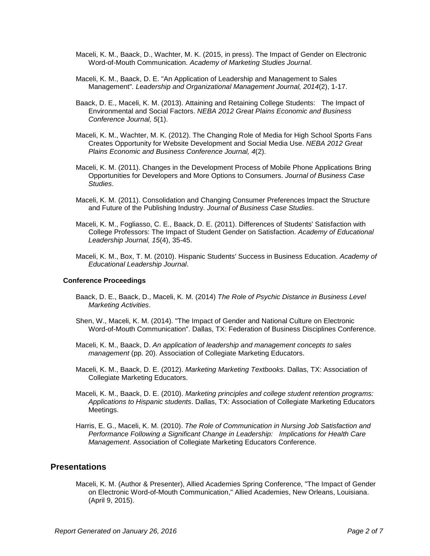- Maceli, K. M., Baack, D., Wachter, M. K. (2015, in press). The Impact of Gender on Electronic Word-of-Mouth Communication. *Academy of Marketing Studies Journal*.
- Maceli, K. M., Baack, D. E. "An Application of Leadership and Management to Sales Management". *Leadership and Organizational Management Journal, 2014*(2), 1-17.
- Baack, D. E., Maceli, K. M. (2013). Attaining and Retaining College Students: The Impact of Environmental and Social Factors. *NEBA 2012 Great Plains Economic and Business Conference Journal, 5*(1).
- Maceli, K. M., Wachter, M. K. (2012). The Changing Role of Media for High School Sports Fans Creates Opportunity for Website Development and Social Media Use. *NEBA 2012 Great Plains Economic and Business Conference Journal, 4*(2).
- Maceli, K. M. (2011). Changes in the Development Process of Mobile Phone Applications Bring Opportunities for Developers and More Options to Consumers. *Journal of Business Case Studies*.
- Maceli, K. M. (2011). Consolidation and Changing Consumer Preferences Impact the Structure and Future of the Publishing Industry. *Journal of Business Case Studies*.
- Maceli, K. M., Fogliasso, C. E., Baack, D. E. (2011). Differences of Students' Satisfaction with College Professors: The Impact of Student Gender on Satisfaction. *Academy of Educational Leadership Journal, 15*(4), 35-45.
- Maceli, K. M., Box, T. M. (2010). Hispanic Students' Success in Business Education. *Academy of Educational Leadership Journal*.

#### **Conference Proceedings**

- Baack, D. E., Baack, D., Maceli, K. M. (2014) *The Role of Psychic Distance in Business Level Marketing Activities*.
- Shen, W., Maceli, K. M. (2014). "The Impact of Gender and National Culture on Electronic Word-of-Mouth Communication". Dallas, TX: Federation of Business Disciplines Conference.
- Maceli, K. M., Baack, D. *An application of leadership and management concepts to sales management* (pp. 20). Association of Collegiate Marketing Educators.
- Maceli, K. M., Baack, D. E. (2012). *Marketing Marketing Textbooks*. Dallas, TX: Association of Collegiate Marketing Educators.
- Maceli, K. M., Baack, D. E. (2010). *Marketing principles and college student retention programs: Applications to Hispanic students*. Dallas, TX: Association of Collegiate Marketing Educators Meetings.
- Harris, E. G., Maceli, K. M. (2010). *The Role of Communication in Nursing Job Satisfaction and Performance Following a Significant Change in Leadership: Implications for Health Care Management*. Association of Collegiate Marketing Educators Conference.

### **Presentations**

Maceli, K. M. (Author & Presenter), Allied Academies Spring Conference, "The Impact of Gender on Electronic Word-of-Mouth Communication," Allied Academies, New Orleans, Louisiana. (April 9, 2015).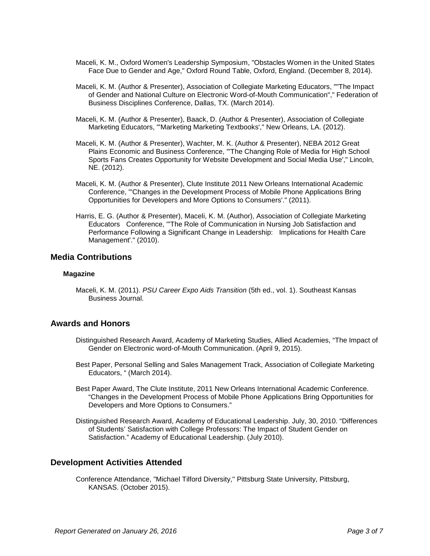- Maceli, K. M., Oxford Women's Leadership Symposium, "Obstacles Women in the United States Face Due to Gender and Age," Oxford Round Table, Oxford, England. (December 8, 2014).
- Maceli, K. M. (Author & Presenter), Association of Collegiate Marketing Educators, ""The Impact of Gender and National Culture on Electronic Word-of-Mouth Communication"," Federation of Business Disciplines Conference, Dallas, TX. (March 2014).
- Maceli, K. M. (Author & Presenter), Baack, D. (Author & Presenter), Association of Collegiate Marketing Educators, "'Marketing Marketing Textbooks'," New Orleans, LA. (2012).
- Maceli, K. M. (Author & Presenter), Wachter, M. K. (Author & Presenter), NEBA 2012 Great Plains Economic and Business Conference, "'The Changing Role of Media for High School Sports Fans Creates Opportunity for Website Development and Social Media Use'," Lincoln, NE. (2012).
- Maceli, K. M. (Author & Presenter), Clute Institute 2011 New Orleans International Academic Conference, "'Changes in the Development Process of Mobile Phone Applications Bring Opportunities for Developers and More Options to Consumers'." (2011).
- Harris, E. G. (Author & Presenter), Maceli, K. M. (Author), Association of Collegiate Marketing Educators Conference, "'The Role of Communication in Nursing Job Satisfaction and Performance Following a Significant Change in Leadership: Implications for Health Care Management'." (2010).

#### **Media Contributions**

#### **Magazine**

Maceli, K. M. (2011). *PSU Career Expo Aids Transition* (5th ed., vol. 1). Southeast Kansas Business Journal.

### **Awards and Honors**

- Distinguished Research Award, Academy of Marketing Studies, Allied Academies, "The Impact of Gender on Electronic word-of-Mouth Communication. (April 9, 2015).
- Best Paper, Personal Selling and Sales Management Track, Association of Collegiate Marketing Educators, " (March 2014).
- Best Paper Award, The Clute Institute, 2011 New Orleans International Academic Conference. "Changes in the Development Process of Mobile Phone Applications Bring Opportunities for Developers and More Options to Consumers."
- Distinguished Research Award, Academy of Educational Leadership. July, 30, 2010. "Differences of Students' Satisfaction with College Professors: The Impact of Student Gender on Satisfaction." Academy of Educational Leadership. (July 2010).

### **Development Activities Attended**

Conference Attendance, "Michael Tilford Diversity," Pittsburg State University, Pittsburg, KANSAS. (October 2015).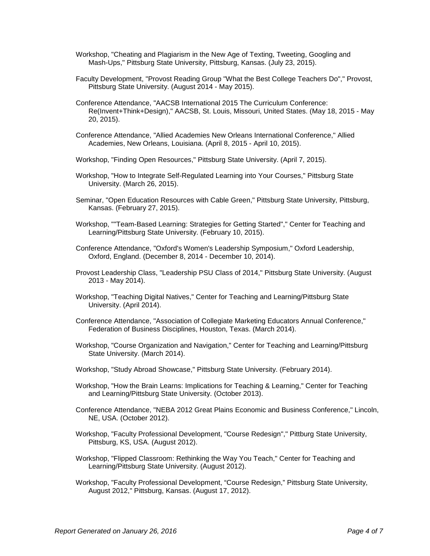- Workshop, "Cheating and Plagiarism in the New Age of Texting, Tweeting, Googling and Mash-Ups," Pittsburg State University, Pittsburg, Kansas. (July 23, 2015).
- Faculty Development, "Provost Reading Group "What the Best College Teachers Do"," Provost, Pittsburg State University. (August 2014 - May 2015).
- Conference Attendance, "AACSB International 2015 The Curriculum Conference: Re(Invent+Think+Design)," AACSB, St. Louis, Missouri, United States. (May 18, 2015 - May 20, 2015).
- Conference Attendance, "Allied Academies New Orleans International Conference," Allied Academies, New Orleans, Louisiana. (April 8, 2015 - April 10, 2015).
- Workshop, "Finding Open Resources," Pittsburg State University. (April 7, 2015).
- Workshop, "How to Integrate Self-Regulated Learning into Your Courses," Pittsburg State University. (March 26, 2015).
- Seminar, "Open Education Resources with Cable Green," Pittsburg State University, Pittsburg, Kansas. (February 27, 2015).
- Workshop, ""Team-Based Learning: Strategies for Getting Started"," Center for Teaching and Learning/Pittsburg State University. (February 10, 2015).
- Conference Attendance, "Oxford's Women's Leadership Symposium," Oxford Leadership, Oxford, England. (December 8, 2014 - December 10, 2014).
- Provost Leadership Class, "Leadership PSU Class of 2014," Pittsburg State University. (August 2013 - May 2014).
- Workshop, "Teaching Digital Natives," Center for Teaching and Learning/Pittsburg State University. (April 2014).
- Conference Attendance, "Association of Collegiate Marketing Educators Annual Conference," Federation of Business Disciplines, Houston, Texas. (March 2014).
- Workshop, "Course Organization and Navigation," Center for Teaching and Learning/Pittsburg State University. (March 2014).
- Workshop, "Study Abroad Showcase," Pittsburg State University. (February 2014).
- Workshop, "How the Brain Learns: Implications for Teaching & Learning," Center for Teaching and Learning/Pittsburg State University. (October 2013).
- Conference Attendance, "NEBA 2012 Great Plains Economic and Business Conference," Lincoln, NE, USA. (October 2012).
- Workshop, "Faculty Professional Development, "Course Redesign"," Pittburg State University, Pittsburg, KS, USA. (August 2012).
- Workshop, "Flipped Classroom: Rethinking the Way You Teach," Center for Teaching and Learning/Pittsburg State University. (August 2012).
- Workshop, "Faculty Professional Development, "Course Redesign," Pittsburg State University, August 2012," Pittsburg, Kansas. (August 17, 2012).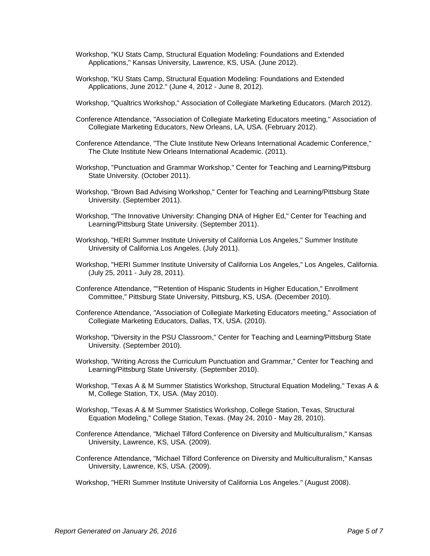- Workshop, "KU Stats Camp, Structural Equation Modeling: Foundations and Extended Applications," Kansas University, Lawrence, KS, USA. (June 2012).
- Workshop, "KU Stats Camp, Structural Equation Modeling: Foundations and Extended Applications, June 2012." (June 4, 2012 - June 8, 2012).
- Workshop, "Qualtrics Workshop," Association of Collegiate Marketing Educators. (March 2012).
- Conference Attendance, "Association of Collegiate Marketing Educators meeting," Association of Collegiate Marketing Educators, New Orleans, LA, USA. (February 2012).
- Conference Attendance, "The Clute Institute New Orleans International Academic Conference," The Clute Institute New Orleans International Academic. (2011).
- Workshop, "Punctuation and Grammar Workshop," Center for Teaching and Learning/Pittsburg State University. (October 2011).
- Workshop, "Brown Bad Advising Workshop," Center for Teaching and Learning/Pittsburg State University. (September 2011).
- Workshop, "The Innovative University: Changing DNA of Higher Ed," Center for Teaching and Learning/Pittsburg State University. (September 2011).
- Workshop, "HERI Summer Institute University of California Los Angeles," Summer Institute University of California Los Angeles. (July 2011).
- Workshop, "HERI Summer Institute University of California Los Angeles," Los Angeles, California. (July 25, 2011 - July 28, 2011).
- Conference Attendance, ""Retention of Hispanic Students in Higher Education," Enrollment Committee," Pittsburg State University, Pittsburg, KS, USA. (December 2010).
- Conference Attendance, "Association of Collegiate Marketing Educators meeting," Association of Collegiate Marketing Educators, Dallas, TX, USA. (2010).
- Workshop, "Diversity in the PSU Classroom," Center for Teaching and Learning/Pittsburg State University. (September 2010).
- Workshop, "Writing Across the Curriculum Punctuation and Grammar," Center for Teaching and Learning/Pittsburg State University. (September 2010).
- Workshop, "Texas A & M Summer Statistics Workshop, Structural Equation Modeling," Texas A & M, College Station, TX, USA. (May 2010).
- Workshop, "Texas A & M Summer Statistics Workshop, College Station, Texas, Structural Equation Modeling," College Station, Texas. (May 24, 2010 - May 28, 2010).
- Conference Attendance, "Michael Tilford Conference on Diversity and Multiculturalism," Kansas University, Lawrence, KS, USA. (2009).
- Conference Attendance, "Michael Tilford Conference on Diversity and Multiculturalism," Kansas University, Lawrence, KS, USA. (2009).
- Workshop, "HERI Summer Institute University of California Los Angeles." (August 2008).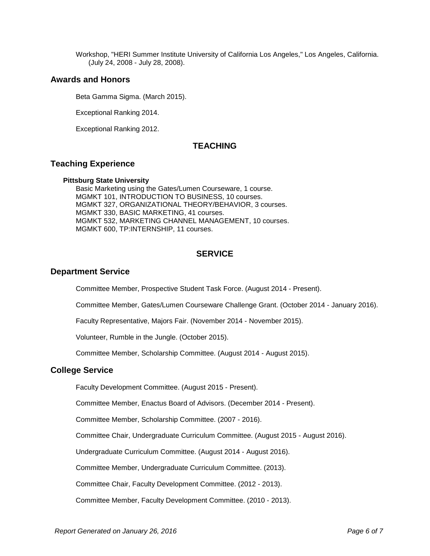Workshop, "HERI Summer Institute University of California Los Angeles," Los Angeles, California. (July 24, 2008 - July 28, 2008).

### **Awards and Honors**

Beta Gamma Sigma. (March 2015).

Exceptional Ranking 2014.

Exceptional Ranking 2012.

# **TEACHING**

# **Teaching Experience**

#### **Pittsburg State University**

Basic Marketing using the Gates/Lumen Courseware, 1 course. MGMKT 101, INTRODUCTION TO BUSINESS, 10 courses. MGMKT 327, ORGANIZATIONAL THEORY/BEHAVIOR, 3 courses. MGMKT 330, BASIC MARKETING, 41 courses. MGMKT 532, MARKETING CHANNEL MANAGEMENT, 10 courses. MGMKT 600, TP:INTERNSHIP, 11 courses.

# **SERVICE**

## **Department Service**

Committee Member, Prospective Student Task Force. (August 2014 - Present).

Committee Member, Gates/Lumen Courseware Challenge Grant. (October 2014 - January 2016).

Faculty Representative, Majors Fair. (November 2014 - November 2015).

Volunteer, Rumble in the Jungle. (October 2015).

Committee Member, Scholarship Committee. (August 2014 - August 2015).

### **College Service**

Faculty Development Committee. (August 2015 - Present).

Committee Member, Enactus Board of Advisors. (December 2014 - Present).

Committee Member, Scholarship Committee. (2007 - 2016).

Committee Chair, Undergraduate Curriculum Committee. (August 2015 - August 2016).

Undergraduate Curriculum Committee. (August 2014 - August 2016).

Committee Member, Undergraduate Curriculum Committee. (2013).

Committee Chair, Faculty Development Committee. (2012 - 2013).

Committee Member, Faculty Development Committee. (2010 - 2013).